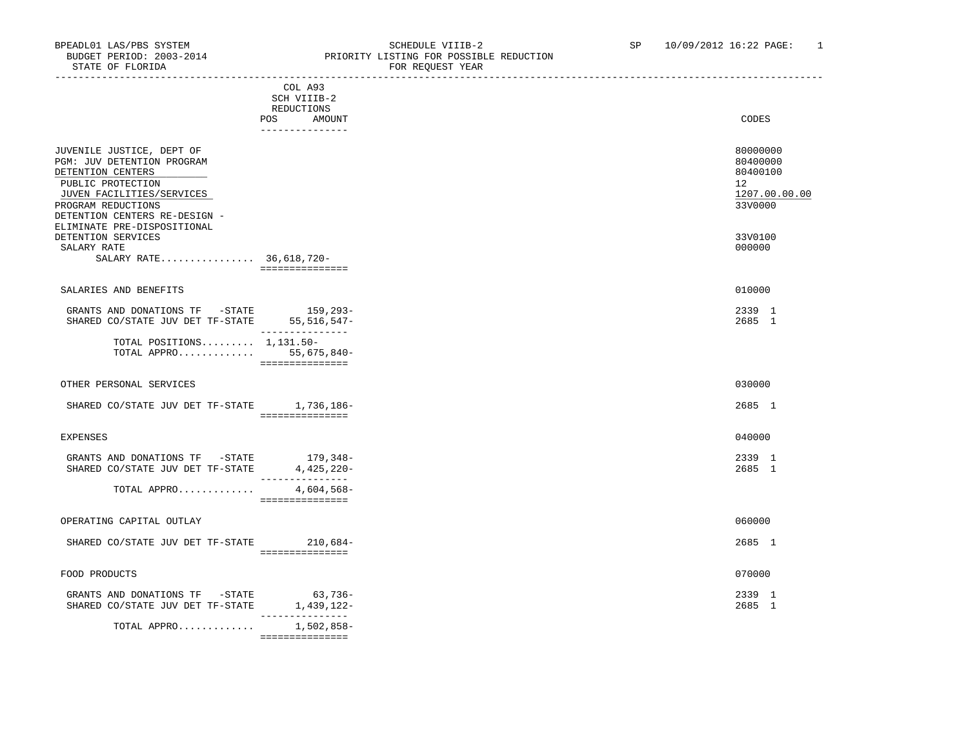-----------------------------------------------------------------------------------------------------------------------------------

STATE OF FLORIDA **FOR REQUEST YEAR** 

|                                                                                                                                                                                                                                                                                      | COL A93<br>SCH VIIIB-2<br>REDUCTIONS<br>POS<br>AMOUNT |
|--------------------------------------------------------------------------------------------------------------------------------------------------------------------------------------------------------------------------------------------------------------------------------------|-------------------------------------------------------|
| JUVENILE JUSTICE, DEPT OF<br>PGM: JUV DETENTION PROGRAM<br>DETENTION CENTERS<br>PUBLIC PROTECTION<br>JUVEN FACILITIES/SERVICES<br>PROGRAM REDUCTIONS<br>DETENTION CENTERS RE-DESIGN -<br>ELIMINATE PRE-DISPOSITIONAL<br>DETENTION SERVICES<br>SALARY RATE<br>SALARY RATE 36,618,720- | ---------------<br>===============                    |
| SALARIES AND BENEFITS                                                                                                                                                                                                                                                                |                                                       |
| GRANTS AND DONATIONS TF -STATE<br>SHARED CO/STATE JUV DET TF-STATE 55,516,547-                                                                                                                                                                                                       | 159,293-<br>________________                          |
| TOTAL POSITIONS $1,131.50-$<br>TOTAL APPRO 55,675,840-                                                                                                                                                                                                                               | ===============                                       |
| OTHER PERSONAL SERVICES                                                                                                                                                                                                                                                              |                                                       |
| SHARED CO/STATE JUV DET TF-STATE 1,736,186-                                                                                                                                                                                                                                          | ===============                                       |
| <b>EXPENSES</b>                                                                                                                                                                                                                                                                      |                                                       |
| GRANTS AND DONATIONS TF -STATE<br>SHARED CO/STATE JUV DET TF-STATE                                                                                                                                                                                                                   | 179,348-<br>4,425,220-<br>_______________             |
| TOTAL APPRO                                                                                                                                                                                                                                                                          | 4,604,568-<br>===============                         |
| OPERATING CAPITAL OUTLAY                                                                                                                                                                                                                                                             |                                                       |
| SHARED CO/STATE JUV DET TF-STATE 210,684-                                                                                                                                                                                                                                            | ----------------                                      |
| FOOD PRODUCTS                                                                                                                                                                                                                                                                        |                                                       |
| GRANTS AND DONATIONS TF -STATE<br>SHARED CO/STATE JUV DET TF-STATE                                                                                                                                                                                                                   | 63,736-<br>1,439,122-<br>_______________              |
| TOTAL APPRO                                                                                                                                                                                                                                                                          | 1,502,858-                                            |

===============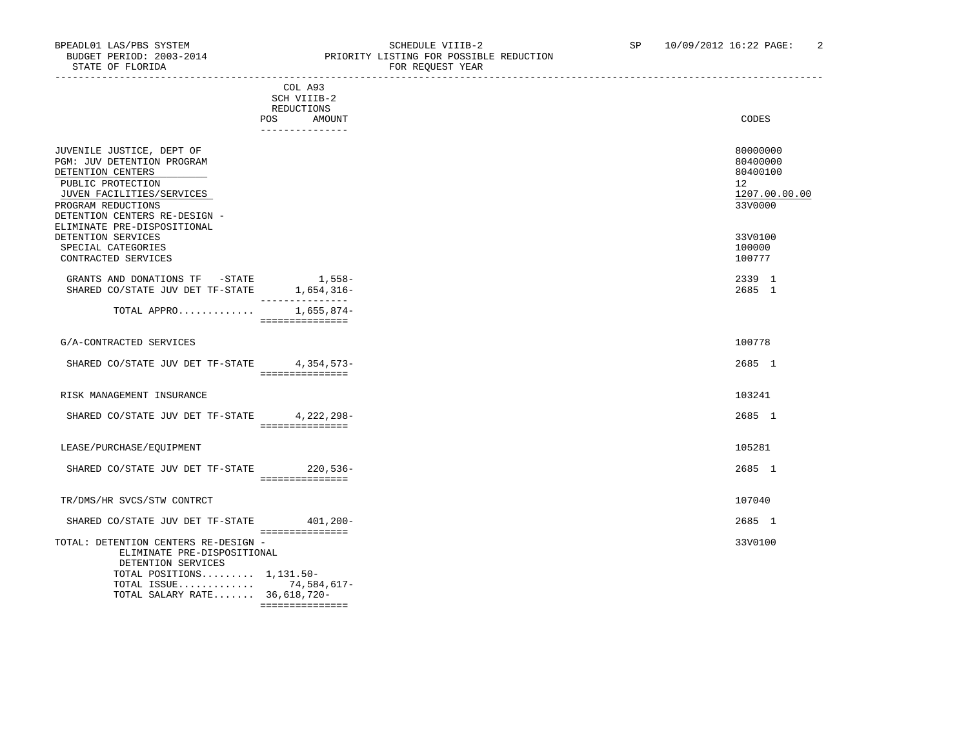|                                                                                                                                                                                                                      | -------------------                  |                                                                                 |
|----------------------------------------------------------------------------------------------------------------------------------------------------------------------------------------------------------------------|--------------------------------------|---------------------------------------------------------------------------------|
|                                                                                                                                                                                                                      | COL A93<br>SCH VIIIB-2<br>REDUCTIONS |                                                                                 |
|                                                                                                                                                                                                                      | POS<br>AMOUNT<br>_______________     | CODES                                                                           |
| JUVENILE JUSTICE, DEPT OF<br>PGM: JUV DETENTION PROGRAM<br>DETENTION CENTERS<br>PUBLIC PROTECTION<br>JUVEN FACILITIES/SERVICES<br>PROGRAM REDUCTIONS<br>DETENTION CENTERS RE-DESIGN -<br>ELIMINATE PRE-DISPOSITIONAL |                                      | 80000000<br>80400000<br>80400100<br>12 <sup>°</sup><br>1207.00.00.00<br>33V0000 |
| DETENTION SERVICES<br>SPECIAL CATEGORIES<br>CONTRACTED SERVICES                                                                                                                                                      |                                      | 33V0100<br>100000<br>100777                                                     |
| GRANTS AND DONATIONS TF -STATE 1,558-<br>SHARED CO/STATE JUV DET TF-STATE 1,654,316-                                                                                                                                 | ---------------                      | 2339 1<br>2685 1                                                                |
| TOTAL APPRO 1,655,874-                                                                                                                                                                                               | ===============                      |                                                                                 |
| G/A-CONTRACTED SERVICES                                                                                                                                                                                              |                                      | 100778                                                                          |
| SHARED CO/STATE JUV DET TF-STATE 4,354,573-                                                                                                                                                                          | ---------------                      | 2685 1                                                                          |
| RISK MANAGEMENT INSURANCE                                                                                                                                                                                            |                                      | 103241                                                                          |
| SHARED CO/STATE JUV DET TF-STATE 4,222,298-                                                                                                                                                                          | ===============                      | 2685 1                                                                          |
| LEASE/PURCHASE/EQUIPMENT                                                                                                                                                                                             |                                      | 105281                                                                          |
| SHARED CO/STATE JUV DET TF-STATE 220,536-                                                                                                                                                                            | ===============                      | 2685 1                                                                          |
| TR/DMS/HR SVCS/STW CONTRCT                                                                                                                                                                                           |                                      | 107040                                                                          |
| SHARED CO/STATE JUV DET TF-STATE                                                                                                                                                                                     | $401, 200 -$<br>===============      | 2685 1                                                                          |
| TOTAL: DETENTION CENTERS RE-DESIGN -<br>ELIMINATE PRE-DISPOSITIONAL<br>DETENTION SERVICES<br>TOTAL POSITIONS $1,131.50-$<br>TOTAL ISSUE 74,584,617-<br>TOTAL SALARY RATE 36, 618, 720-                               | ===============                      | 33V0100                                                                         |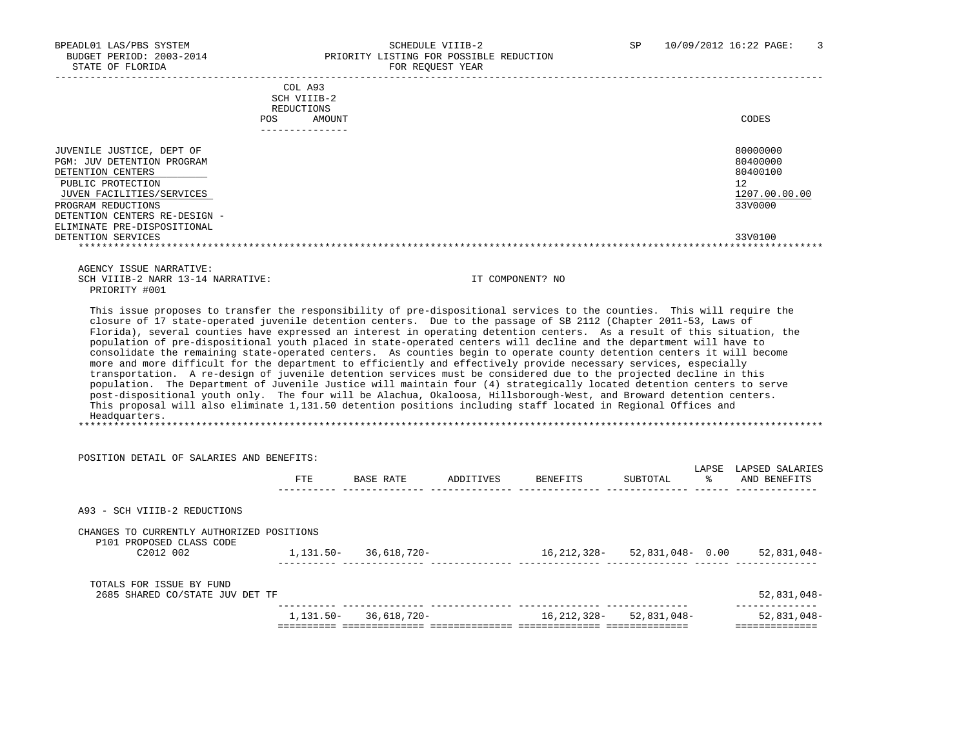|                                                                                                                                                                                                                                                                                                                                                                                                                                                                                                                                                                                                                                                                                                                                                                                                    | COL A93                   |                            |                              |                         |                                                    |
|----------------------------------------------------------------------------------------------------------------------------------------------------------------------------------------------------------------------------------------------------------------------------------------------------------------------------------------------------------------------------------------------------------------------------------------------------------------------------------------------------------------------------------------------------------------------------------------------------------------------------------------------------------------------------------------------------------------------------------------------------------------------------------------------------|---------------------------|----------------------------|------------------------------|-------------------------|----------------------------------------------------|
|                                                                                                                                                                                                                                                                                                                                                                                                                                                                                                                                                                                                                                                                                                                                                                                                    | SCH VIIIB-2<br>REDUCTIONS |                            |                              |                         |                                                    |
| POS                                                                                                                                                                                                                                                                                                                                                                                                                                                                                                                                                                                                                                                                                                                                                                                                | AMOUNT                    |                            |                              |                         | CODES                                              |
|                                                                                                                                                                                                                                                                                                                                                                                                                                                                                                                                                                                                                                                                                                                                                                                                    |                           |                            |                              |                         |                                                    |
|                                                                                                                                                                                                                                                                                                                                                                                                                                                                                                                                                                                                                                                                                                                                                                                                    |                           |                            |                              |                         |                                                    |
| JUVENILE JUSTICE, DEPT OF                                                                                                                                                                                                                                                                                                                                                                                                                                                                                                                                                                                                                                                                                                                                                                          |                           |                            |                              |                         | 80000000                                           |
| PGM: JUV DETENTION PROGRAM                                                                                                                                                                                                                                                                                                                                                                                                                                                                                                                                                                                                                                                                                                                                                                         |                           |                            |                              |                         | 80400000                                           |
| DETENTION CENTERS                                                                                                                                                                                                                                                                                                                                                                                                                                                                                                                                                                                                                                                                                                                                                                                  |                           |                            |                              |                         | 80400100                                           |
| PUBLIC PROTECTION                                                                                                                                                                                                                                                                                                                                                                                                                                                                                                                                                                                                                                                                                                                                                                                  |                           |                            |                              |                         | 12 <sup>°</sup>                                    |
| JUVEN FACILITIES/SERVICES                                                                                                                                                                                                                                                                                                                                                                                                                                                                                                                                                                                                                                                                                                                                                                          |                           |                            |                              |                         | 1207.00.00.00<br>33V0000                           |
| PROGRAM REDUCTIONS<br>DETENTION CENTERS RE-DESIGN -                                                                                                                                                                                                                                                                                                                                                                                                                                                                                                                                                                                                                                                                                                                                                |                           |                            |                              |                         |                                                    |
| ELIMINATE PRE-DISPOSITIONAL                                                                                                                                                                                                                                                                                                                                                                                                                                                                                                                                                                                                                                                                                                                                                                        |                           |                            |                              |                         |                                                    |
| DETENTION SERVICES                                                                                                                                                                                                                                                                                                                                                                                                                                                                                                                                                                                                                                                                                                                                                                                 |                           |                            |                              |                         | 33V0100                                            |
|                                                                                                                                                                                                                                                                                                                                                                                                                                                                                                                                                                                                                                                                                                                                                                                                    |                           |                            |                              |                         |                                                    |
|                                                                                                                                                                                                                                                                                                                                                                                                                                                                                                                                                                                                                                                                                                                                                                                                    |                           |                            |                              |                         |                                                    |
| AGENCY ISSUE NARRATIVE:                                                                                                                                                                                                                                                                                                                                                                                                                                                                                                                                                                                                                                                                                                                                                                            |                           |                            |                              |                         |                                                    |
| SCH VIIIB-2 NARR 13-14 NARRATIVE:                                                                                                                                                                                                                                                                                                                                                                                                                                                                                                                                                                                                                                                                                                                                                                  |                           |                            | IT COMPONENT? NO             |                         |                                                    |
| PRIORITY #001                                                                                                                                                                                                                                                                                                                                                                                                                                                                                                                                                                                                                                                                                                                                                                                      |                           |                            |                              |                         |                                                    |
| consolidate the remaining state-operated centers. As counties begin to operate county detention centers it will become<br>more and more difficult for the department to efficiently and effectively provide necessary services, especially<br>transportation. A re-design of juvenile detention services must be considered due to the projected decline in this<br>population. The Department of Juvenile Justice will maintain four (4) strategically located detention centers to serve<br>post-dispositional youth only. The four will be Alachua, Okaloosa, Hillsborough-West, and Broward detention centers.<br>This proposal will also eliminate 1,131.50 detention positions including staff located in Regional Offices and<br>Headquarters.<br>POSITION DETAIL OF SALARIES AND BENEFITS: |                           |                            |                              |                         |                                                    |
|                                                                                                                                                                                                                                                                                                                                                                                                                                                                                                                                                                                                                                                                                                                                                                                                    | ETE                       |                            | BASE RATE ADDITIVES BENEFITS | SUBTOTAL                | LAPSE LAPSED SALARIES<br>% AND BENEFITS            |
| A93 - SCH VIIIB-2 REDUCTIONS                                                                                                                                                                                                                                                                                                                                                                                                                                                                                                                                                                                                                                                                                                                                                                       |                           |                            |                              |                         |                                                    |
| CHANGES TO CURRENTLY AUTHORIZED POSITIONS<br>P101 PROPOSED CLASS CODE                                                                                                                                                                                                                                                                                                                                                                                                                                                                                                                                                                                                                                                                                                                              |                           |                            |                              |                         |                                                    |
| C2012 002                                                                                                                                                                                                                                                                                                                                                                                                                                                                                                                                                                                                                                                                                                                                                                                          |                           | 1, 131.50 - 36, 618, 720 - |                              |                         | $16, 212, 328 - 52, 831, 048 - 0.00$ 52, 831, 048- |
|                                                                                                                                                                                                                                                                                                                                                                                                                                                                                                                                                                                                                                                                                                                                                                                                    |                           |                            |                              |                         |                                                    |
|                                                                                                                                                                                                                                                                                                                                                                                                                                                                                                                                                                                                                                                                                                                                                                                                    |                           |                            |                              |                         |                                                    |
| TOTALS FOR ISSUE BY FUND                                                                                                                                                                                                                                                                                                                                                                                                                                                                                                                                                                                                                                                                                                                                                                           |                           |                            |                              |                         |                                                    |
| 2685 SHARED CO/STATE JUV DET TF                                                                                                                                                                                                                                                                                                                                                                                                                                                                                                                                                                                                                                                                                                                                                                    |                           |                            |                              |                         | 52,831,048-<br>______________                      |
|                                                                                                                                                                                                                                                                                                                                                                                                                                                                                                                                                                                                                                                                                                                                                                                                    |                           | $1,131.50 - 36,618,720 -$  |                              | 16,212,328- 52,831,048- | 52,831,048-                                        |
|                                                                                                                                                                                                                                                                                                                                                                                                                                                                                                                                                                                                                                                                                                                                                                                                    |                           |                            |                              |                         | ==============                                     |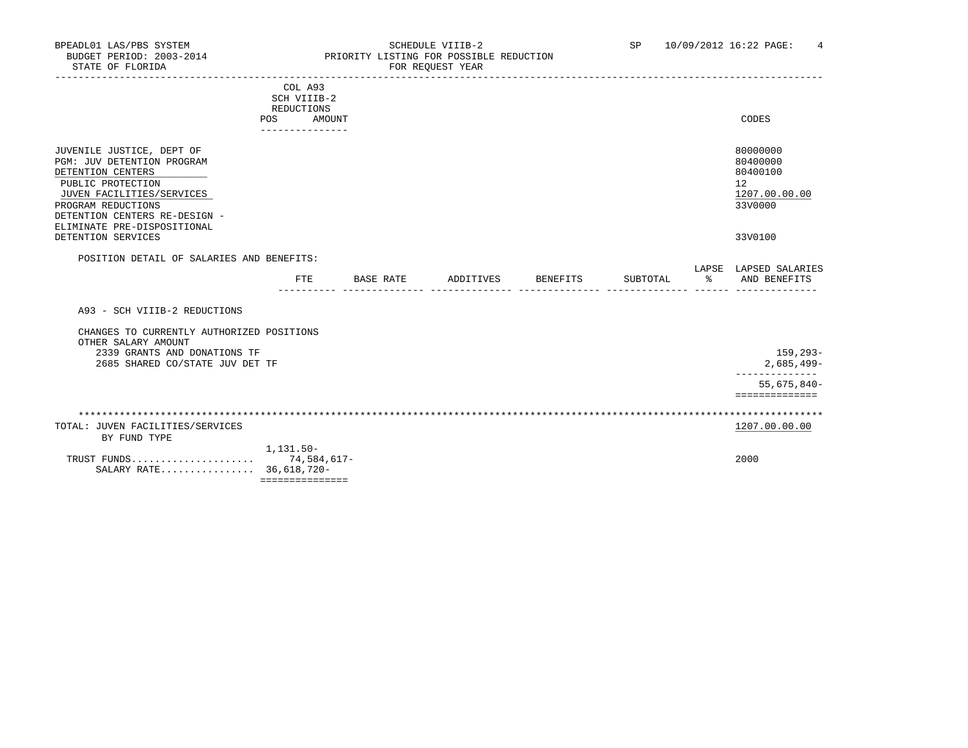|                                                                                                                                                                                                                                            | COL A93<br>SCH VIIIB-2<br>REDUCTIONS<br>POS | AMOUNT           |           |          |          |    | CODES                                                                         |
|--------------------------------------------------------------------------------------------------------------------------------------------------------------------------------------------------------------------------------------------|---------------------------------------------|------------------|-----------|----------|----------|----|-------------------------------------------------------------------------------|
| JUVENILE JUSTICE, DEPT OF<br>PGM: JUV DETENTION PROGRAM<br>DETENTION CENTERS<br>PUBLIC PROTECTION<br>JUVEN FACILITIES/SERVICES<br>PROGRAM REDUCTIONS<br>DETENTION CENTERS RE-DESIGN -<br>ELIMINATE PRE-DISPOSITIONAL<br>DETENTION SERVICES |                                             |                  |           |          |          |    | 80000000<br>80400000<br>80400100<br>12<br>1207.00.00.00<br>33V0000<br>33V0100 |
| POSITION DETAIL OF SALARIES AND BENEFITS:                                                                                                                                                                                                  |                                             |                  |           |          |          |    | LAPSE LAPSED SALARIES                                                         |
|                                                                                                                                                                                                                                            | FTE                                         | <b>BASE RATE</b> | ADDITIVES | BENEFITS | SUBTOTAL | ွေ | AND BENEFITS                                                                  |
| A93 - SCH VIIIB-2 REDUCTIONS                                                                                                                                                                                                               |                                             |                  |           |          |          |    |                                                                               |
| CHANGES TO CURRENTLY AUTHORIZED POSITIONS<br>OTHER SALARY AMOUNT<br>2339 GRANTS AND DONATIONS TF<br>2685 SHARED CO/STATE JUV DET TF                                                                                                        |                                             |                  |           |          |          |    | 159,293-<br>$2,685,499-$                                                      |
|                                                                                                                                                                                                                                            |                                             |                  |           |          |          |    | 55,675,840-<br>==============                                                 |
|                                                                                                                                                                                                                                            |                                             |                  |           |          |          |    |                                                                               |
| TOTAL: JUVEN FACILITIES/SERVICES<br>BY FUND TYPE                                                                                                                                                                                           |                                             |                  |           |          |          |    | 1207.00.00.00                                                                 |
| TRUST FUNDS 74,584,617-<br>SALARY RATE 36,618,720-                                                                                                                                                                                         | $1.131.50 -$<br>===============             |                  |           |          |          |    | 2000                                                                          |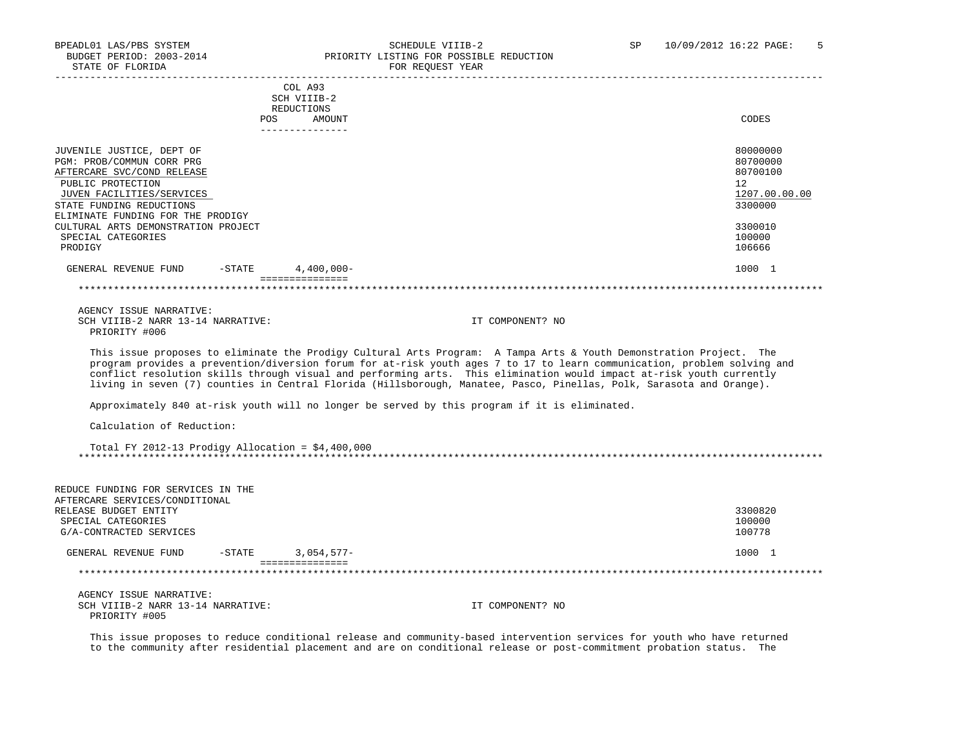PRIORITY #005

-----------------------------------------------------------------------------------------------------------------------------------

|                                                                                                                                                                                                                                                                                 | COL A93<br>SCH VIIIB-2<br><b>REDUCTIONS</b> |                                                                                                                                                                                                                                                                                                                                                                                                                                                                                                                                                                                                  |                                                                                                   |
|---------------------------------------------------------------------------------------------------------------------------------------------------------------------------------------------------------------------------------------------------------------------------------|---------------------------------------------|--------------------------------------------------------------------------------------------------------------------------------------------------------------------------------------------------------------------------------------------------------------------------------------------------------------------------------------------------------------------------------------------------------------------------------------------------------------------------------------------------------------------------------------------------------------------------------------------------|---------------------------------------------------------------------------------------------------|
|                                                                                                                                                                                                                                                                                 | <b>POS</b><br>AMOUNT                        |                                                                                                                                                                                                                                                                                                                                                                                                                                                                                                                                                                                                  | CODES                                                                                             |
| JUVENILE JUSTICE, DEPT OF<br>PGM: PROB/COMMUN CORR PRG<br>AFTERCARE SVC/COND RELEASE<br>PUBLIC PROTECTION<br>JUVEN FACILITIES/SERVICES<br>STATE FUNDING REDUCTIONS<br>ELIMINATE FUNDING FOR THE PRODIGY<br>CULTURAL ARTS DEMONSTRATION PROJECT<br>SPECIAL CATEGORIES<br>PRODIGY | --------------                              |                                                                                                                                                                                                                                                                                                                                                                                                                                                                                                                                                                                                  | 80000000<br>80700000<br>80700100<br>12<br>1207.00.00.00<br>3300000<br>3300010<br>100000<br>106666 |
| GENERAL REVENUE FUND<br>$-$ STATE                                                                                                                                                                                                                                               | $4,400,000 -$                               |                                                                                                                                                                                                                                                                                                                                                                                                                                                                                                                                                                                                  | 1000 1                                                                                            |
|                                                                                                                                                                                                                                                                                 | ===============                             |                                                                                                                                                                                                                                                                                                                                                                                                                                                                                                                                                                                                  |                                                                                                   |
| AGENCY ISSUE NARRATIVE:<br>SCH VIIIB-2 NARR 13-14 NARRATIVE:<br>PRIORITY #006                                                                                                                                                                                                   |                                             | IT COMPONENT? NO                                                                                                                                                                                                                                                                                                                                                                                                                                                                                                                                                                                 |                                                                                                   |
|                                                                                                                                                                                                                                                                                 |                                             | This issue proposes to eliminate the Prodigy Cultural Arts Program: A Tampa Arts & Youth Demonstration Project. The<br>program provides a prevention/diversion forum for at-risk youth ages 7 to 17 to learn communication, problem solving and<br>conflict resolution skills through visual and performing arts. This elimination would impact at-risk youth currently<br>living in seven (7) counties in Central Florida (Hillsborough, Manatee, Pasco, Pinellas, Polk, Sarasota and Orange).<br>Approximately 840 at-risk youth will no longer be served by this program if it is eliminated. |                                                                                                   |
| Calculation of Reduction:                                                                                                                                                                                                                                                       |                                             |                                                                                                                                                                                                                                                                                                                                                                                                                                                                                                                                                                                                  |                                                                                                   |
| Total FY 2012-13 Prodigy Allocation = $$4,400,000$                                                                                                                                                                                                                              |                                             |                                                                                                                                                                                                                                                                                                                                                                                                                                                                                                                                                                                                  |                                                                                                   |
| REDUCE FUNDING FOR SERVICES IN THE<br>AFTERCARE SERVICES/CONDITIONAL<br>RELEASE BUDGET ENTITY<br>SPECIAL CATEGORIES<br>G/A-CONTRACTED SERVICES                                                                                                                                  |                                             |                                                                                                                                                                                                                                                                                                                                                                                                                                                                                                                                                                                                  | 3300820<br>100000<br>100778                                                                       |
| GENERAL REVENUE FUND<br>$-$ STATE                                                                                                                                                                                                                                               | $3.054.577-$                                |                                                                                                                                                                                                                                                                                                                                                                                                                                                                                                                                                                                                  | 1000 1                                                                                            |
|                                                                                                                                                                                                                                                                                 | ===============                             |                                                                                                                                                                                                                                                                                                                                                                                                                                                                                                                                                                                                  |                                                                                                   |
| AGENCY ISSUE NARRATIVE:                                                                                                                                                                                                                                                         |                                             |                                                                                                                                                                                                                                                                                                                                                                                                                                                                                                                                                                                                  |                                                                                                   |

 This issue proposes to reduce conditional release and community-based intervention services for youth who have returned to the community after residential placement and are on conditional release or post-commitment probation status. The

SCH VIIIB-2 NARR 13-14 NARRATIVE: IT COMPONENT? NO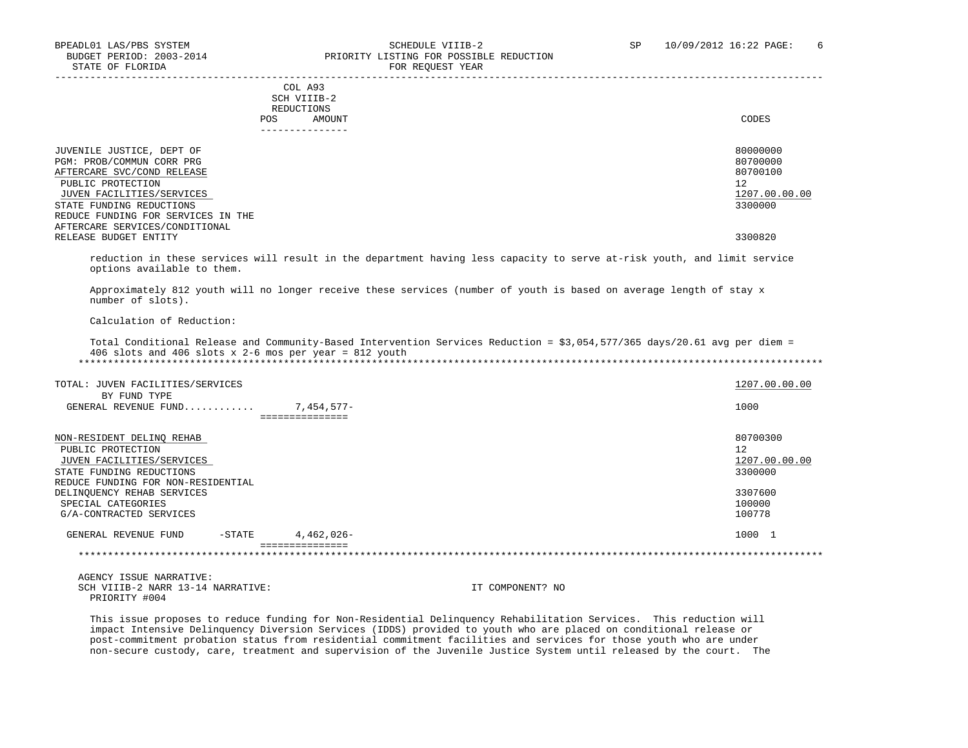| COL A93<br>SCH VIIIB-2<br>REDUCTIONS<br>AMOUNT<br><b>POS</b>                                                                                                                                             | CODES                                                              |
|----------------------------------------------------------------------------------------------------------------------------------------------------------------------------------------------------------|--------------------------------------------------------------------|
| JUVENILE JUSTICE, DEPT OF<br>PGM: PROB/COMMUN CORR PRG<br>AFTERCARE SVC/COND RELEASE<br>PUBLIC PROTECTION<br>JUVEN FACILITIES/SERVICES<br>STATE FUNDING REDUCTIONS<br>REDUCE FUNDING FOR SERVICES IN THE | 80000000<br>80700000<br>80700100<br>12<br>1207.00.00.00<br>3300000 |
| AFTERCARE SERVICES/CONDITIONAL<br>RELEASE BUDGET ENTITY                                                                                                                                                  | 3300820                                                            |

 reduction in these services will result in the department having less capacity to serve at-risk youth, and limit service options available to them.

 Approximately 812 youth will no longer receive these services (number of youth is based on average length of stay x number of slots).

Calculation of Reduction:

 Total Conditional Release and Community-Based Intervention Services Reduction = \$3,054,577/365 days/20.61 avg per diem = 406 slots and 406 slots x 2-6 mos per year = 812 youth \*\*\*\*\*\*\*\*\*\*\*\*\*\*\*\*\*\*\*\*\*\*\*\*\*\*\*\*\*\*\*\*\*\*\*\*\*\*\*\*\*\*\*\*\*\*\*\*\*\*\*\*\*\*\*\*\*\*\*\*\*\*\*\*\*\*\*\*\*\*\*\*\*\*\*\*\*\*\*\*\*\*\*\*\*\*\*\*\*\*\*\*\*\*\*\*\*\*\*\*\*\*\*\*\*\*\*\*\*\*\*\*\*\*\*\*\*\*\*\*\*\*\*\*\*\*\*

| TOTAL: JUVEN FACILITIES/SERVICES     |                 | 1207.00.00.00 |
|--------------------------------------|-----------------|---------------|
| BY FUND TYPE<br>GENERAL REVENUE FUND | 7,454,577-      | 1000          |
|                                      | =============== |               |
| NON-RESIDENT DELINQ REHAB            |                 | 80700300      |
| PUBLIC PROTECTION                    |                 | 12            |
| JUVEN FACILITIES/SERVICES            |                 | 1207.00.00.00 |
| STATE FUNDING REDUCTIONS             |                 | 3300000       |
| REDUCE FUNDING FOR NON-RESIDENTIAL   |                 |               |
| DELINQUENCY REHAB SERVICES           |                 | 3307600       |
| SPECIAL CATEGORIES                   |                 | 100000        |
| G/A-CONTRACTED SERVICES              |                 | 100778        |
| GENERAL REVENUE FUND<br>$-$ STATE    | $4.462.026 -$   | 1000 1        |
|                                      |                 |               |

 AGENCY ISSUE NARRATIVE: SCH VIIIB-2 NARR 13-14 NARRATIVE: IT COMPONENT? NO PRIORITY #004

 This issue proposes to reduce funding for Non-Residential Delinquency Rehabilitation Services. This reduction will impact Intensive Delinquency Diversion Services (IDDS) provided to youth who are placed on conditional release or post-commitment probation status from residential commitment facilities and services for those youth who are under non-secure custody, care, treatment and supervision of the Juvenile Justice System until released by the court. The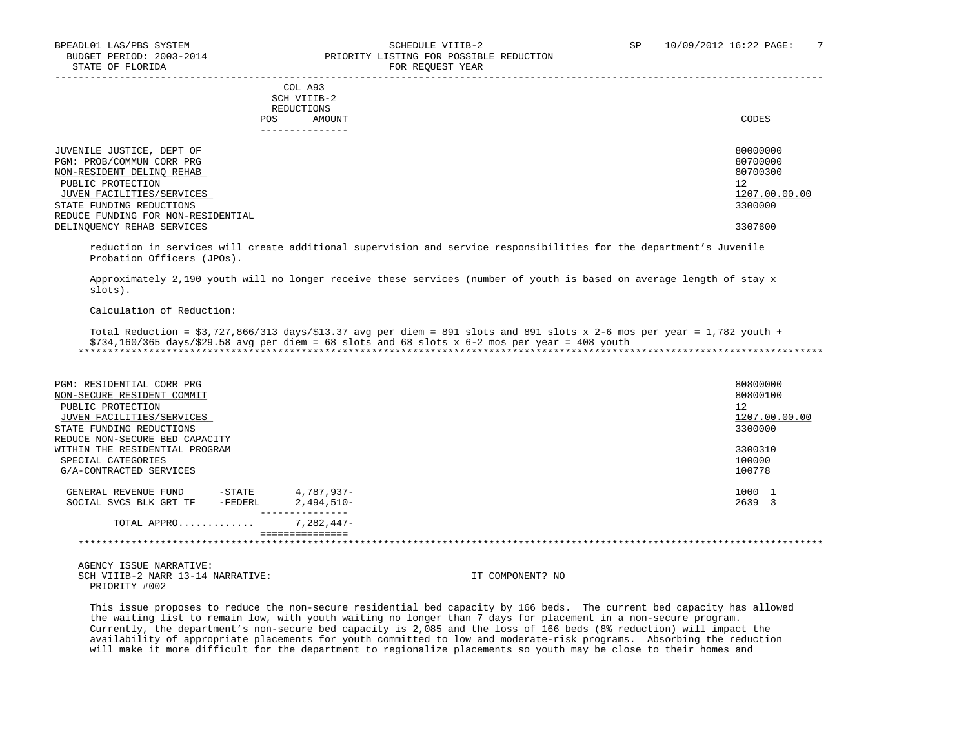|     | --------------- |       |
|-----|-----------------|-------|
| POS | AMOUNT          | CODES |
|     | REDUCTIONS      |       |
|     | SCH VIIIB-2     |       |
|     | COL A93         |       |

| JUVENILE JUSTICE, DEPT OF          | 80000000      |
|------------------------------------|---------------|
| PGM: PROB/COMMUN CORR PRG          | 80700000      |
| NON-RESIDENT DELINO REHAB          | 80700300      |
| PUBLIC PROTECTION                  | 12            |
| JUVEN FACILITIES/SERVICES          | 1207.00.00.00 |
| STATE FUNDING REDUCTIONS           | 3300000       |
| REDUCE FUNDING FOR NON-RESIDENTIAL |               |
| DELINQUENCY REHAB SERVICES         | 3307600       |

-----------------------------------------------------------------------------------------------------------------------------------

 reduction in services will create additional supervision and service responsibilities for the department's Juvenile Probation Officers (JPOs).

 Approximately 2,190 youth will no longer receive these services (number of youth is based on average length of stay x slots).

Calculation of Reduction:

Total Reduction =  $$3,727,866/313$  days/ $$13.37$  avg per diem = 891 slots and 891 slots x 2-6 mos per year = 1,782 youth + \$734,160/365 days/\$29.58 avg per diem = 68 slots and 68 slots x 6-2 mos per year = 408 youth \*\*\*\*\*\*\*\*\*\*\*\*\*\*\*\*\*\*\*\*\*\*\*\*\*\*\*\*\*\*\*\*\*\*\*\*\*\*\*\*\*\*\*\*\*\*\*\*\*\*\*\*\*\*\*\*\*\*\*\*\*\*\*\*\*\*\*\*\*\*\*\*\*\*\*\*\*\*\*\*\*\*\*\*\*\*\*\*\*\*\*\*\*\*\*\*\*\*\*\*\*\*\*\*\*\*\*\*\*\*\*\*\*\*\*\*\*\*\*\*\*\*\*\*\*\*\*

| PGM: RESIDENTIAL CORR PRG<br>NON-SECURE RESIDENT COMMIT<br>PUBLIC PROTECTION<br>JUVEN FACILITIES/SERVICES |                 | 80800000<br>80800100<br>12<br>1207.00.00.00 |
|-----------------------------------------------------------------------------------------------------------|-----------------|---------------------------------------------|
| STATE FUNDING REDUCTIONS                                                                                  |                 | 3300000                                     |
| REDUCE NON-SECURE BED CAPACITY                                                                            |                 |                                             |
| WITHIN THE RESIDENTIAL PROGRAM                                                                            |                 | 3300310                                     |
| SPECIAL CATEGORIES                                                                                        |                 | 100000                                      |
| G/A-CONTRACTED SERVICES                                                                                   |                 | 100778                                      |
| -STATE<br>GENERAL REVENUE FUND                                                                            | 4,787,937-      | 1000 1                                      |
| SOCIAL SVCS BLK GRT TF<br>-FEDERL                                                                         | 2,494,510-      | 2639 3                                      |
| TOTAL APPRO                                                                                               | $7.282.447-$    |                                             |
|                                                                                                           | =============== |                                             |

 AGENCY ISSUE NARRATIVE: SCH VIIIB-2 NARR 13-14 NARRATIVE: IT COMPONENT? NO PRIORITY #002

 This issue proposes to reduce the non-secure residential bed capacity by 166 beds. The current bed capacity has allowed the waiting list to remain low, with youth waiting no longer than 7 days for placement in a non-secure program. Currently, the department's non-secure bed capacity is 2,085 and the loss of 166 beds (8% reduction) will impact the availability of appropriate placements for youth committed to low and moderate-risk programs. Absorbing the reduction will make it more difficult for the department to regionalize placements so youth may be close to their homes and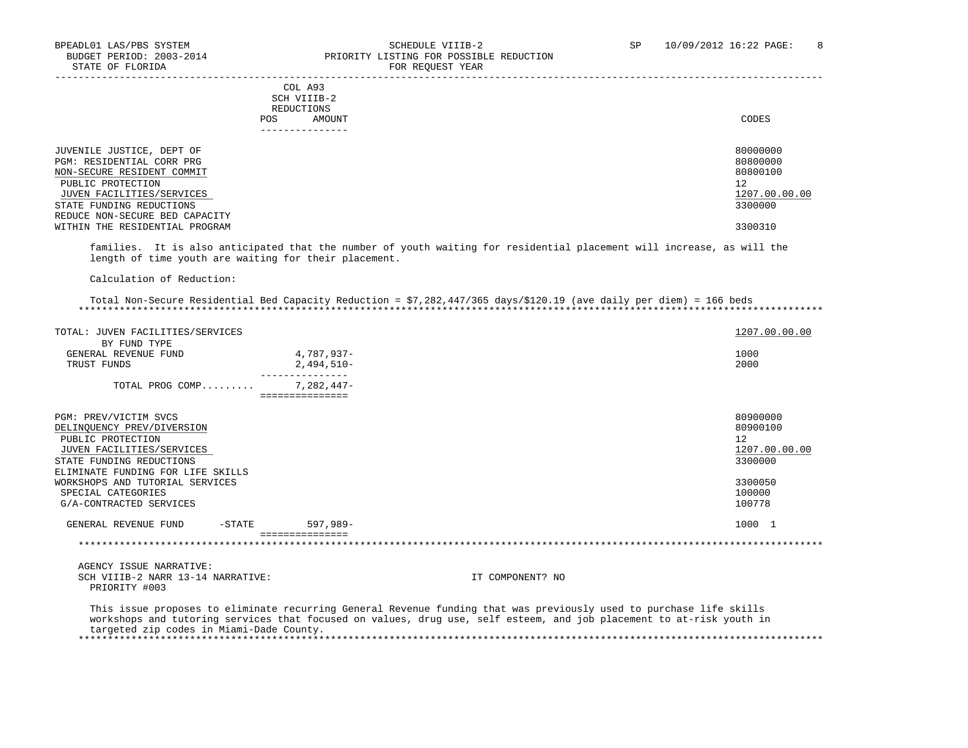|     | COL A93         |       |
|-----|-----------------|-------|
|     | SCH VIIIB-2     |       |
|     | REDUCTIONS      |       |
| POS | AMOUNT          | CODES |
|     | --------------- |       |
|     |                 |       |
|     |                 |       |

| JUVENILE JUSTICE, DEPT OF      | 80000000      |
|--------------------------------|---------------|
| PGM: RESIDENTIAL CORR PRG      | 80800000      |
| NON-SECURE RESIDENT COMMIT     | 80800100      |
| PUBLIC PROTECTION              | 12            |
| JUVEN FACILITIES/SERVICES      | 1207.00.00.00 |
| STATE FUNDING REDUCTIONS       | 3300000       |
| REDUCE NON-SECURE BED CAPACITY |               |
| WITHIN THE RESIDENTIAL PROGRAM | 3300310       |

 families. It is also anticipated that the number of youth waiting for residential placement will increase, as will the length of time youth are waiting for their placement.

Calculation of Reduction:

 Total Non-Secure Residential Bed Capacity Reduction = \$7,282,447/365 days/\$120.19 (ave daily per diem) = 166 beds \*\*\*\*\*\*\*\*\*\*\*\*\*\*\*\*\*\*\*\*\*\*\*\*\*\*\*\*\*\*\*\*\*\*\*\*\*\*\*\*\*\*\*\*\*\*\*\*\*\*\*\*\*\*\*\*\*\*\*\*\*\*\*\*\*\*\*\*\*\*\*\*\*\*\*\*\*\*\*\*\*\*\*\*\*\*\*\*\*\*\*\*\*\*\*\*\*\*\*\*\*\*\*\*\*\*\*\*\*\*\*\*\*\*\*\*\*\*\*\*\*\*\*\*\*\*\*

| TOTAL: JUVEN FACILITIES/SERVICES  |           |              | 1207.00.00.00 |
|-----------------------------------|-----------|--------------|---------------|
| BY FUND TYPE                      |           |              |               |
| GENERAL REVENUE FUND              |           | 4,787,937-   | 1000          |
| TRUST FUNDS                       |           | $2,494,510-$ | 2000          |
| TOTAL PROG COMP                   |           | 7,282,447-   |               |
| PGM: PREV/VICTIM SVCS             |           |              | 80900000      |
| DELINQUENCY PREV/DIVERSION        |           |              | 80900100      |
| PUBLIC PROTECTION                 |           |              | 12            |
| JUVEN FACILITIES/SERVICES         |           |              | 1207.00.00.00 |
| STATE FUNDING REDUCTIONS          |           |              | 3300000       |
| ELIMINATE FUNDING FOR LIFE SKILLS |           |              |               |
| WORKSHOPS AND TUTORIAL SERVICES   | 3300050   |              |               |
| SPECIAL CATEGORIES                |           |              | 100000        |
| G/A-CONTRACTED SERVICES           |           |              | 100778        |
| GENERAL REVENUE FUND              | $-$ STATE | $597.989 -$  | 1000 1        |
|                                   |           |              |               |

 AGENCY ISSUE NARRATIVE: SCH VIIIB-2 NARR 13-14 NARRATIVE: IT COMPONENT? NO PRIORITY #003

 This issue proposes to eliminate recurring General Revenue funding that was previously used to purchase life skills workshops and tutoring services that focused on values, drug use, self esteem, and job placement to at-risk youth in targeted zip codes in Miami-Dade County. \*\*\*\*\*\*\*\*\*\*\*\*\*\*\*\*\*\*\*\*\*\*\*\*\*\*\*\*\*\*\*\*\*\*\*\*\*\*\*\*\*\*\*\*\*\*\*\*\*\*\*\*\*\*\*\*\*\*\*\*\*\*\*\*\*\*\*\*\*\*\*\*\*\*\*\*\*\*\*\*\*\*\*\*\*\*\*\*\*\*\*\*\*\*\*\*\*\*\*\*\*\*\*\*\*\*\*\*\*\*\*\*\*\*\*\*\*\*\*\*\*\*\*\*\*\*\*